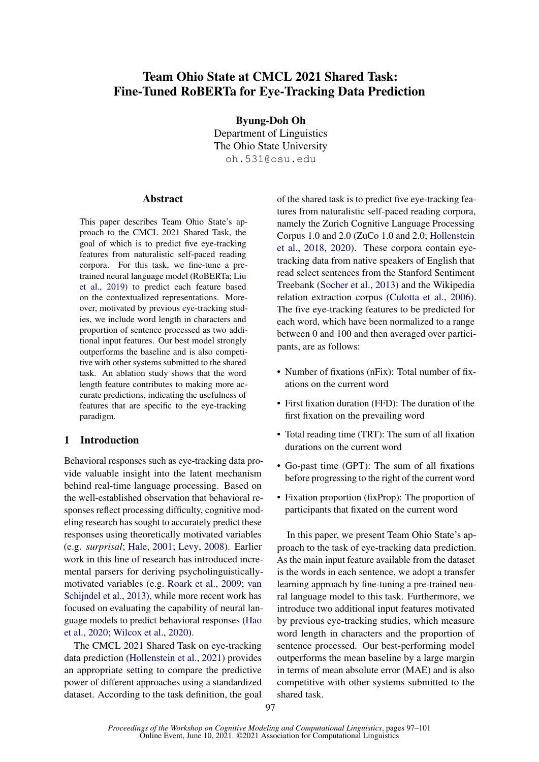# Team Ohio State at CMCL 2021 Shared Task: Fine-Tuned RoBERTa for Eye-Tracking Data Prediction

Byung-Doh Oh

Department of Linguistics The Ohio State University oh.531@osu.edu

### **Abstract**

This paper describes Team Ohio State's approach to the CMCL 2021 Shared Task, the goal of which is to predict five eye-tracking features from naturalistic self-paced reading corpora. For this task, we fine-tune a pretrained neural language model (RoBERTa; [Liu](#page-3-0) [et al.,](#page-3-0) [2019\)](#page-3-0) to predict each feature based on the contextualized representations. Moreover, motivated by previous eye-tracking studies, we include word length in characters and proportion of sentence processed as two additional input features. Our best model strongly outperforms the baseline and is also competitive with other systems submitted to the shared task. An ablation study shows that the word length feature contributes to making more accurate predictions, indicating the usefulness of features that are specific to the eye-tracking paradigm.

### 1 Introduction

Behavioral responses such as eye-tracking data provide valuable insight into the latent mechanism behind real-time language processing. Based on the well-established observation that behavioral responses reflect processing difficulty, cognitive modeling research has sought to accurately predict these responses using theoretically motivated variables (e.g. *surprisal*; [Hale,](#page-3-1) [2001;](#page-3-1) [Levy,](#page-3-2) [2008\)](#page-3-2). Earlier work in this line of research has introduced incremental parsers for deriving psycholinguisticallymotivated variables (e.g. [Roark et al.,](#page-4-0) [2009;](#page-4-0) [van](#page-4-1) [Schijndel et al.,](#page-4-1) [2013\)](#page-4-1), while more recent work has focused on evaluating the capability of neural language models to predict behavioral responses [\(Hao](#page-3-3) [et al.,](#page-3-3) [2020;](#page-3-3) [Wilcox et al.,](#page-4-2) [2020\)](#page-4-2).

The CMCL 2021 Shared Task on eye-tracking data prediction [\(Hollenstein et al.,](#page-3-4) [2021\)](#page-3-4) provides an appropriate setting to compare the predictive power of different approaches using a standardized dataset. According to the task definition, the goal of the shared task is to predict five eye-tracking features from naturalistic self-paced reading corpora, namely the Zurich Cognitive Language Processing Corpus 1.0 and 2.0 (ZuCo 1.0 and 2.0; [Hollenstein](#page-3-5) [et al.,](#page-3-5) [2018,](#page-3-5) [2020\)](#page-3-6). These corpora contain eyetracking data from native speakers of English that read select sentences from the Stanford Sentiment Treebank [\(Socher et al.,](#page-4-3) [2013\)](#page-4-3) and the Wikipedia relation extraction corpus [\(Culotta et al.,](#page-3-7) [2006\)](#page-3-7). The five eye-tracking features to be predicted for each word, which have been normalized to a range between 0 and 100 and then averaged over participants, are as follows:

- Number of fixations (nFix): Total number of fixations on the current word
- First fixation duration (FFD): The duration of the first fixation on the prevailing word
- Total reading time (TRT): The sum of all fixation durations on the current word
- Go-past time (GPT): The sum of all fixations before progressing to the right of the current word
- Fixation proportion (fixProp): The proportion of participants that fixated on the current word

In this paper, we present Team Ohio State's approach to the task of eye-tracking data prediction. As the main input feature available from the dataset is the words in each sentence, we adopt a transfer learning approach by fine-tuning a pre-trained neural language model to this task. Furthermore, we introduce two additional input features motivated by previous eye-tracking studies, which measure word length in characters and the proportion of sentence processed. Our best-performing model outperforms the mean baseline by a large margin in terms of mean absolute error (MAE) and is also competitive with other systems submitted to the shared task.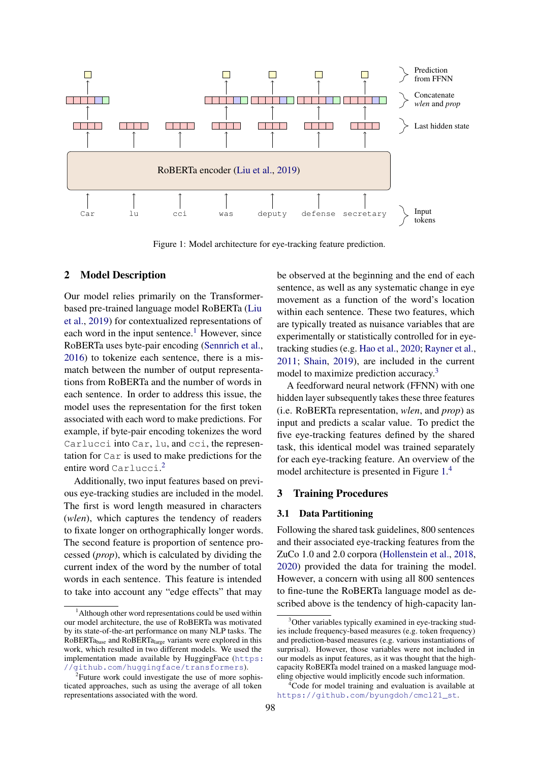<span id="page-1-3"></span>

Figure 1: Model architecture for eye-tracking feature prediction.

# <span id="page-1-5"></span>2 Model Description

Our model relies primarily on the Transformerbased pre-trained language model RoBERTa [\(Liu](#page-3-0) [et al.,](#page-3-0) [2019\)](#page-3-0) for contextualized representations of each word in the input sentence.<sup>[1](#page-1-0)</sup> However, since RoBERTa uses byte-pair encoding [\(Sennrich et al.,](#page-4-4) [2016\)](#page-4-4) to tokenize each sentence, there is a mismatch between the number of output representations from RoBERTa and the number of words in each sentence. In order to address this issue, the model uses the representation for the first token associated with each word to make predictions. For example, if byte-pair encoding tokenizes the word Carlucci into Car, lu, and cci, the representation for Car is used to make predictions for the entire word Carlucci. [2](#page-1-1)

Additionally, two input features based on previous eye-tracking studies are included in the model. The first is word length measured in characters (*wlen*), which captures the tendency of readers to fixate longer on orthographically longer words. The second feature is proportion of sentence processed (*prop*), which is calculated by dividing the current index of the word by the number of total words in each sentence. This feature is intended to take into account any "edge effects" that may

be observed at the beginning and the end of each sentence, as well as any systematic change in eye movement as a function of the word's location within each sentence. These two features, which are typically treated as nuisance variables that are experimentally or statistically controlled for in eyetracking studies (e.g. [Hao et al.,](#page-3-3) [2020;](#page-3-3) [Rayner et al.,](#page-4-5) [2011;](#page-4-5) [Shain,](#page-4-6) [2019\)](#page-4-6), are included in the current model to maximize prediction accuracy.<sup>[3](#page-1-2)</sup>

A feedforward neural network (FFNN) with one hidden layer subsequently takes these three features (i.e. RoBERTa representation, *wlen*, and *prop*) as input and predicts a scalar value. To predict the five eye-tracking features defined by the shared task, this identical model was trained separately for each eye-tracking feature. An overview of the model architecture is presented in Figure [1.](#page-1-3) [4](#page-1-4)

# 3 Training Procedures

### 3.1 Data Partitioning

Following the shared task guidelines, 800 sentences and their associated eye-tracking features from the ZuCo 1.0 and 2.0 corpora [\(Hollenstein et al.,](#page-3-5) [2018,](#page-3-5) [2020\)](#page-3-6) provided the data for training the model. However, a concern with using all 800 sentences to fine-tune the RoBERTa language model as described above is the tendency of high-capacity lan-

<span id="page-1-0"></span><sup>&</sup>lt;sup>1</sup> Although other word representations could be used within our model architecture, the use of RoBERTa was motivated by its state-of-the-art performance on many NLP tasks. The RoBERTabase and RoBERTalarge variants were explored in this work, which resulted in two different models. We used the implementation made available by HuggingFace ([https:](https://github.com/huggingface/transformers) [//github.com/huggingface/transformers](https://github.com/huggingface/transformers)).

<span id="page-1-1"></span><sup>&</sup>lt;sup>2</sup> Future work could investigate the use of more sophisticated approaches, such as using the average of all token representations associated with the word.

<span id="page-1-2"></span><sup>&</sup>lt;sup>3</sup>Other variables typically examined in eye-tracking studies include frequency-based measures (e.g. token frequency) and prediction-based measures (e.g. various instantiations of surprisal). However, those variables were not included in our models as input features, as it was thought that the highcapacity RoBERTa model trained on a masked language modeling objective would implicitly encode such information.

<span id="page-1-4"></span><sup>4</sup>Code for model training and evaluation is available at [https://github.com/byungdoh/cmcl21\\_st](https://github.com/byungdoh/cmcl21_st).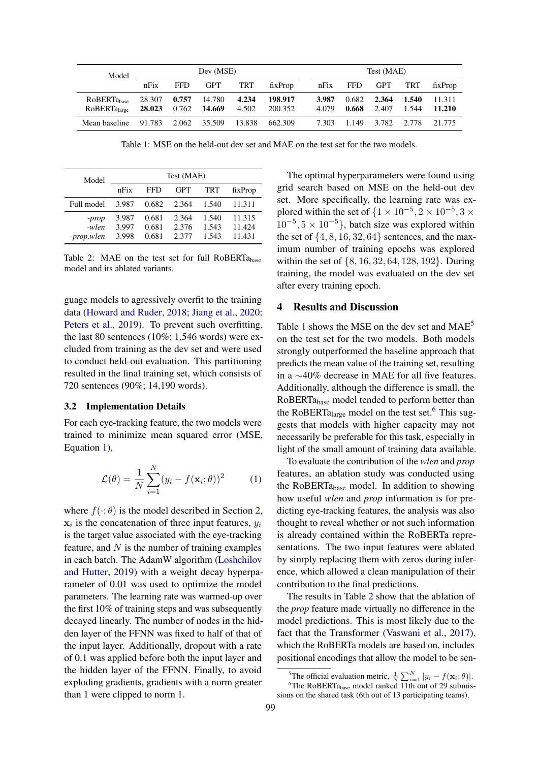<span id="page-2-1"></span>

| Model                                               | Dev (MSE)        |                |                  |                |                    | Test (MAE)     |                |                |                |                  |  |
|-----------------------------------------------------|------------------|----------------|------------------|----------------|--------------------|----------------|----------------|----------------|----------------|------------------|--|
|                                                     | nFix             | <b>FFD</b>     | <b>GPT</b>       | TRT            | fixProp            | nFix           | <b>FFD</b>     | GPT TRT        |                | fixProp          |  |
| RoBERTa <sub>base</sub><br>RoBERTa <sub>large</sub> | 28.307<br>28.023 | 0.757<br>0.762 | 14.780<br>14.669 | 4.234<br>4.502 | 198.917<br>200.352 | 3.987<br>4.079 | 0.682<br>0.668 | 2.364<br>2.407 | 1.540<br>1.544 | 11.311<br>11.210 |  |
| Mean baseline                                       | 91.783           | 2.062          | 35.509           |                | 13.838 662.309     | 7.303          | 1.149          | 3.782          | 2.778          | 21.775           |  |

Table 1: MSE on the held-out dev set and MAE on the test set for the two models.

<span id="page-2-4"></span>

| Model                        | Test (MAE)              |                         |                         |                         |                            |  |  |  |  |
|------------------------------|-------------------------|-------------------------|-------------------------|-------------------------|----------------------------|--|--|--|--|
|                              | nFix                    | FFD                     | GPT                     | TRT                     | fixProp                    |  |  |  |  |
| Full model                   | 3.987                   | 0.682                   | 2.364                   | 1.540                   | 11.311                     |  |  |  |  |
| -prop<br>-wlen<br>-prop,wlen | 3.987<br>3.997<br>3.998 | 0.681<br>0.681<br>0.681 | 2.364<br>2.376<br>2.377 | 1.540<br>1.543<br>1.543 | 11.315<br>11.424<br>11.431 |  |  |  |  |

Table 2: MAE on the test set for full RoBERTabase model and its ablated variants.

guage models to agressively overfit to the training data [\(Howard and Ruder,](#page-3-8) [2018;](#page-3-8) [Jiang et al.,](#page-3-9) [2020;](#page-3-9) [Peters et al.,](#page-4-7) [2019\)](#page-4-7). To prevent such overfitting, the last 80 sentences (10%; 1,546 words) were excluded from training as the dev set and were used to conduct held-out evaluation. This partitioning resulted in the final training set, which consists of 720 sentences (90%; 14,190 words).

#### 3.2 Implementation Details

For each eye-tracking feature, the two models were trained to minimize mean squared error (MSE, Equation [1\)](#page-2-0),

<span id="page-2-0"></span>
$$
\mathcal{L}(\theta) = \frac{1}{N} \sum_{i=1}^{N} (y_i - f(\mathbf{x}_i; \theta))^2
$$
 (1)

where  $f(\cdot; \theta)$  is the model described in Section [2,](#page-1-5)  $x_i$  is the concatenation of three input features,  $y_i$ is the target value associated with the eye-tracking feature, and  $N$  is the number of training examples in each batch. The AdamW algorithm [\(Loshchilov](#page-3-10) [and Hutter,](#page-3-10) [2019\)](#page-3-10) with a weight decay hyperparameter of 0.01 was used to optimize the model parameters. The learning rate was warmed-up over the first 10% of training steps and was subsequently decayed linearly. The number of nodes in the hidden layer of the FFNN was fixed to half of that of the input layer. Additionally, dropout with a rate of 0.1 was applied before both the input layer and the hidden layer of the FFNN. Finally, to avoid exploding gradients, gradients with a norm greater than 1 were clipped to norm 1.

The optimal hyperparameters were found using grid search based on MSE on the held-out dev set. More specifically, the learning rate was explored within the set of  $\{1 \times 10^{-5}, 2 \times 10^{-5}, 3 \times$  $10^{-5}$ ,  $5 \times 10^{-5}$ , batch size was explored within the set of  $\{4, 8, 16, 32, 64\}$  sentences, and the maximum number of training epochs was explored within the set of {8, 16, 32, 64, 128, 192}. During training, the model was evaluated on the dev set after every training epoch.

### 4 Results and Discussion

Table [1](#page-2-1) shows the MSE on the dev set and MAE<sup>[5](#page-2-2)</sup> on the test set for the two models. Both models strongly outperformed the baseline approach that predicts the mean value of the training set, resulting in a ∼40% decrease in MAE for all five features. Additionally, although the difference is small, the RoBERTabase model tended to perform better than the RoBERTa<sub>large</sub> model on the test set.<sup>[6](#page-2-3)</sup> This suggests that models with higher capacity may not necessarily be preferable for this task, especially in light of the small amount of training data available.

To evaluate the contribution of the *wlen* and *prop* features, an ablation study was conducted using the RoBERTabase model. In addition to showing how useful *wlen* and *prop* information is for predicting eye-tracking features, the analysis was also thought to reveal whether or not such information is already contained within the RoBERTa representations. The two input features were ablated by simply replacing them with zeros during inference, which allowed a clean manipulation of their contribution to the final predictions.

The results in Table [2](#page-2-4) show that the ablation of the *prop* feature made virtually no difference in the model predictions. This is most likely due to the fact that the Transformer [\(Vaswani et al.,](#page-4-8) [2017\)](#page-4-8), which the RoBERTa models are based on, includes positional encodings that allow the model to be sen-

<span id="page-2-3"></span><span id="page-2-2"></span><sup>&</sup>lt;sup>5</sup>The official evaluation metric,  $\frac{1}{N} \sum_{i=1}^{N} |y_i - f(\mathbf{x}_i; \theta)|$ .

<sup>&</sup>lt;sup>6</sup>The RoBERTa<sub>base</sub> model ranked 11th out of 29 submissions on the shared task (6th out of 13 participating teams).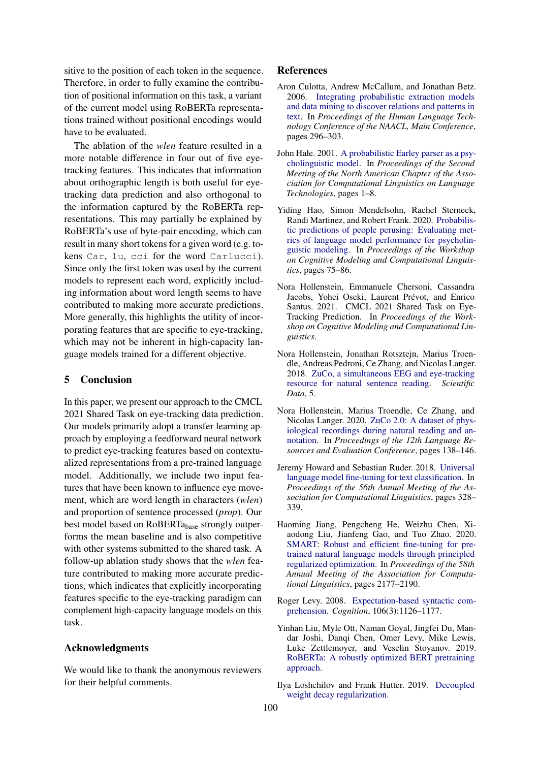sitive to the position of each token in the sequence. Therefore, in order to fully examine the contribution of positional information on this task, a variant of the current model using RoBERTa representations trained without positional encodings would have to be evaluated.

The ablation of the *wlen* feature resulted in a more notable difference in four out of five eyetracking features. This indicates that information about orthographic length is both useful for eyetracking data prediction and also orthogonal to the information captured by the RoBERTa representations. This may partially be explained by RoBERTa's use of byte-pair encoding, which can result in many short tokens for a given word (e.g. tokens Car, lu, cci for the word Carlucci). Since only the first token was used by the current models to represent each word, explicitly including information about word length seems to have contributed to making more accurate predictions. More generally, this highlights the utility of incorporating features that are specific to eye-tracking, which may not be inherent in high-capacity language models trained for a different objective.

# 5 Conclusion

In this paper, we present our approach to the CMCL 2021 Shared Task on eye-tracking data prediction. Our models primarily adopt a transfer learning approach by employing a feedforward neural network to predict eye-tracking features based on contextualized representations from a pre-trained language model. Additionally, we include two input features that have been known to influence eye movement, which are word length in characters (*wlen*) and proportion of sentence processed (*prop*). Our best model based on RoBERTa<sub>base</sub> strongly outperforms the mean baseline and is also competitive with other systems submitted to the shared task. A follow-up ablation study shows that the *wlen* feature contributed to making more accurate predictions, which indicates that explicitly incorporating features specific to the eye-tracking paradigm can complement high-capacity language models on this task.

# Acknowledgments

We would like to thank the anonymous reviewers for their helpful comments.

### References

- <span id="page-3-7"></span>Aron Culotta, Andrew McCallum, and Jonathan Betz. 2006. [Integrating probabilistic extraction models](https://www.aclweb.org/anthology/N06-1038) [and data mining to discover relations and patterns in](https://www.aclweb.org/anthology/N06-1038) [text.](https://www.aclweb.org/anthology/N06-1038) In *Proceedings of the Human Language Technology Conference of the NAACL, Main Conference*, pages 296–303.
- <span id="page-3-1"></span>John Hale. 2001. [A probabilistic Earley parser as a psy](https://www.aclweb.org/anthology/N01-1021/)[cholinguistic model.](https://www.aclweb.org/anthology/N01-1021/) In *Proceedings of the Second Meeting of the North American Chapter of the Association for Computational Linguistics on Language Technologies*, pages 1–8.
- <span id="page-3-3"></span>Yiding Hao, Simon Mendelsohn, Rachel Sterneck, Randi Martinez, and Robert Frank. 2020. [Probabilis](https://www.aclweb.org/anthology/2020.cmcl-1.10)[tic predictions of people perusing: Evaluating met](https://www.aclweb.org/anthology/2020.cmcl-1.10)[rics of language model performance for psycholin](https://www.aclweb.org/anthology/2020.cmcl-1.10)[guistic modeling.](https://www.aclweb.org/anthology/2020.cmcl-1.10) In *Proceedings of the Workshop on Cognitive Modeling and Computational Linguistics*, pages 75–86.
- <span id="page-3-4"></span>Nora Hollenstein, Emmanuele Chersoni, Cassandra Jacobs, Yohei Oseki, Laurent Prévot, and Enrico Santus. 2021. CMCL 2021 Shared Task on Eye-Tracking Prediction. In *Proceedings of the Workshop on Cognitive Modeling and Computational Linguistics*.
- <span id="page-3-5"></span>Nora Hollenstein, Jonathan Rotsztejn, Marius Troendle, Andreas Pedroni, Ce Zhang, and Nicolas Langer. 2018. [ZuCo, a simultaneous EEG and eye-tracking](https://doi.org/https://doi.org/10.1038/sdata.2018.291) [resource for natural sentence reading.](https://doi.org/https://doi.org/10.1038/sdata.2018.291) *Scientific Data*, 5.
- <span id="page-3-6"></span>Nora Hollenstein, Marius Troendle, Ce Zhang, and Nicolas Langer. 2020. [ZuCo 2.0: A dataset of phys](https://www.aclweb.org/anthology/2020.lrec-1.18)[iological recordings during natural reading and an](https://www.aclweb.org/anthology/2020.lrec-1.18)[notation.](https://www.aclweb.org/anthology/2020.lrec-1.18) In *Proceedings of the 12th Language Resources and Evaluation Conference*, pages 138–146.
- <span id="page-3-8"></span>Jeremy Howard and Sebastian Ruder. 2018. [Universal](https://doi.org/10.18653/v1/P18-1031) [language model fine-tuning for text classification.](https://doi.org/10.18653/v1/P18-1031) In *Proceedings of the 56th Annual Meeting of the Association for Computational Linguistics*, pages 328– 339.
- <span id="page-3-9"></span>Haoming Jiang, Pengcheng He, Weizhu Chen, Xiaodong Liu, Jianfeng Gao, and Tuo Zhao. 2020. [SMART: Robust and efficient fine-tuning for pre](https://doi.org/10.18653/v1/2020.acl-main.197)[trained natural language models through principled](https://doi.org/10.18653/v1/2020.acl-main.197) [regularized optimization.](https://doi.org/10.18653/v1/2020.acl-main.197) In *Proceedings of the 58th Annual Meeting of the Association for Computational Linguistics*, pages 2177–2190.
- <span id="page-3-2"></span>Roger Levy. 2008. [Expectation-based syntactic com](https://doi.org/10.1016/j.cognition.2007.05.006)[prehension.](https://doi.org/10.1016/j.cognition.2007.05.006) *Cognition*, 106(3):1126–1177.
- <span id="page-3-0"></span>Yinhan Liu, Myle Ott, Naman Goyal, Jingfei Du, Mandar Joshi, Danqi Chen, Omer Levy, Mike Lewis, Luke Zettlemoyer, and Veselin Stoyanov. 2019. [RoBERTa: A robustly optimized BERT pretraining](http://arxiv.org/abs/1907.11692) [approach.](http://arxiv.org/abs/1907.11692)
- <span id="page-3-10"></span>Ilya Loshchilov and Frank Hutter. 2019. [Decoupled](http://arxiv.org/abs/1711.05101) [weight decay regularization.](http://arxiv.org/abs/1711.05101)